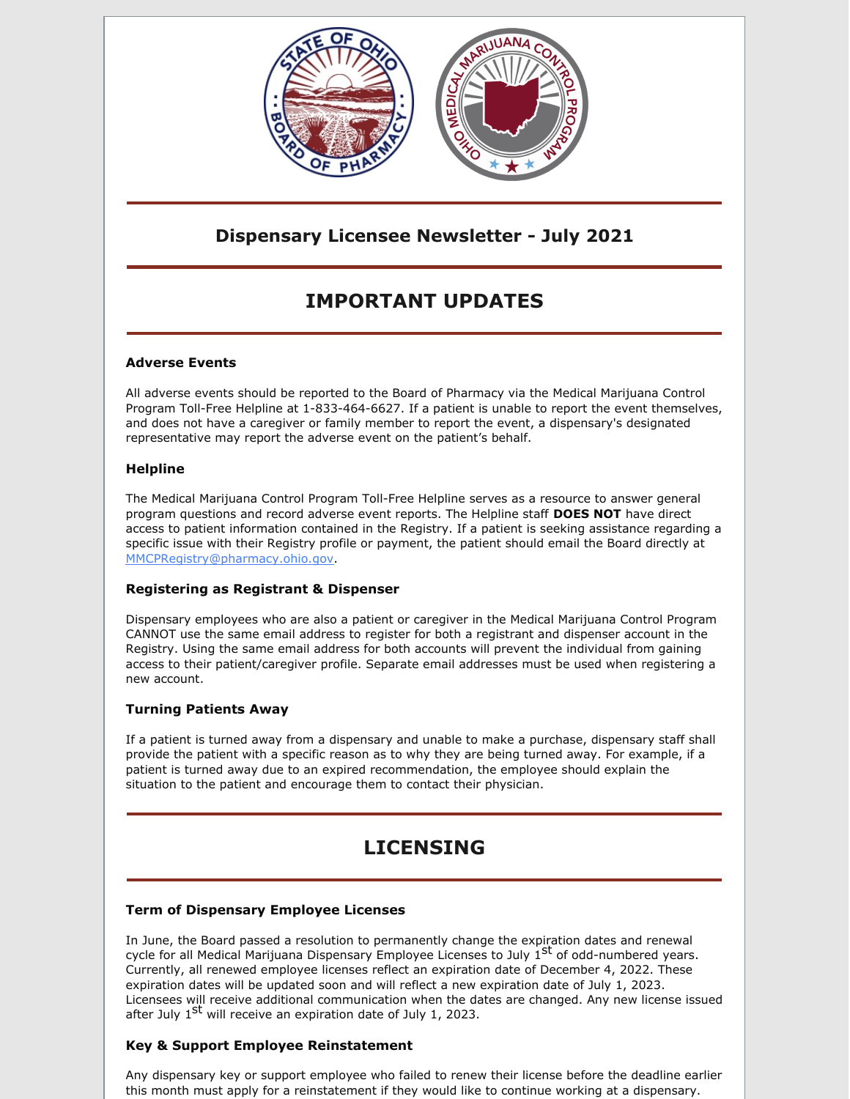

# **Dispensary Licensee Newsletter - July 2021**

# **IMPORTANT UPDATES**

### **Adverse Events**

All adverse events should be reported to the Board of Pharmacy via the Medical Marijuana Control Program Toll-Free Helpline at 1-833-464-6627. If a patient is unable to report the event themselves, and does not have a caregiver or family member to report the event, a dispensary's designated representative may report the adverse event on the patient's behalf.

### **Helpline**

The Medical Marijuana Control Program Toll-Free Helpline serves as a resource to answer general program questions and record adverse event reports. The Helpline staff **DOES NOT** have direct access to patient information contained in the Registry. If a patient is seeking assistance regarding a specific issue with their Registry profile or payment, the patient should email the Board directly at [MMCPRegistry@pharmacy.ohio.gov](mailto:MMCPRegistry@pharmacy.ohio.gov).

#### **Registering as Registrant & Dispenser**

Dispensary employees who are also a patient or caregiver in the Medical Marijuana Control Program CANNOT use the same email address to register for both a registrant and dispenser account in the Registry. Using the same email address for both accounts will prevent the individual from gaining access to their patient/caregiver profile. Separate email addresses must be used when registering a new account.

## **Turning Patients Away**

If a patient is turned away from a dispensary and unable to make a purchase, dispensary staff shall provide the patient with a specific reason as to why they are being turned away. For example, if a patient is turned away due to an expired recommendation, the employee should explain the situation to the patient and encourage them to contact their physician.

# **LICENSING**

#### **Term of Dispensary Employee Licenses**

In June, the Board passed a resolution to permanently change the expiration dates and renewal cycle for all Medical Marijuana Dispensary Employee Licenses to July 1 st of odd-numbered years. Currently, all renewed employee licenses reflect an expiration date of December 4, 2022. These expiration dates will be updated soon and will reflect a new expiration date of July 1, 2023. Licensees will receive additional communication when the dates are changed. Any new license issued after July 1<sup>St</sup> will receive an expiration date of July 1, 2023.

## **Key & Support Employee Reinstatement**

Any dispensary key or support employee who failed to renew their license before the deadline earlier this month must apply for a reinstatement if they would like to continue working at a dispensary.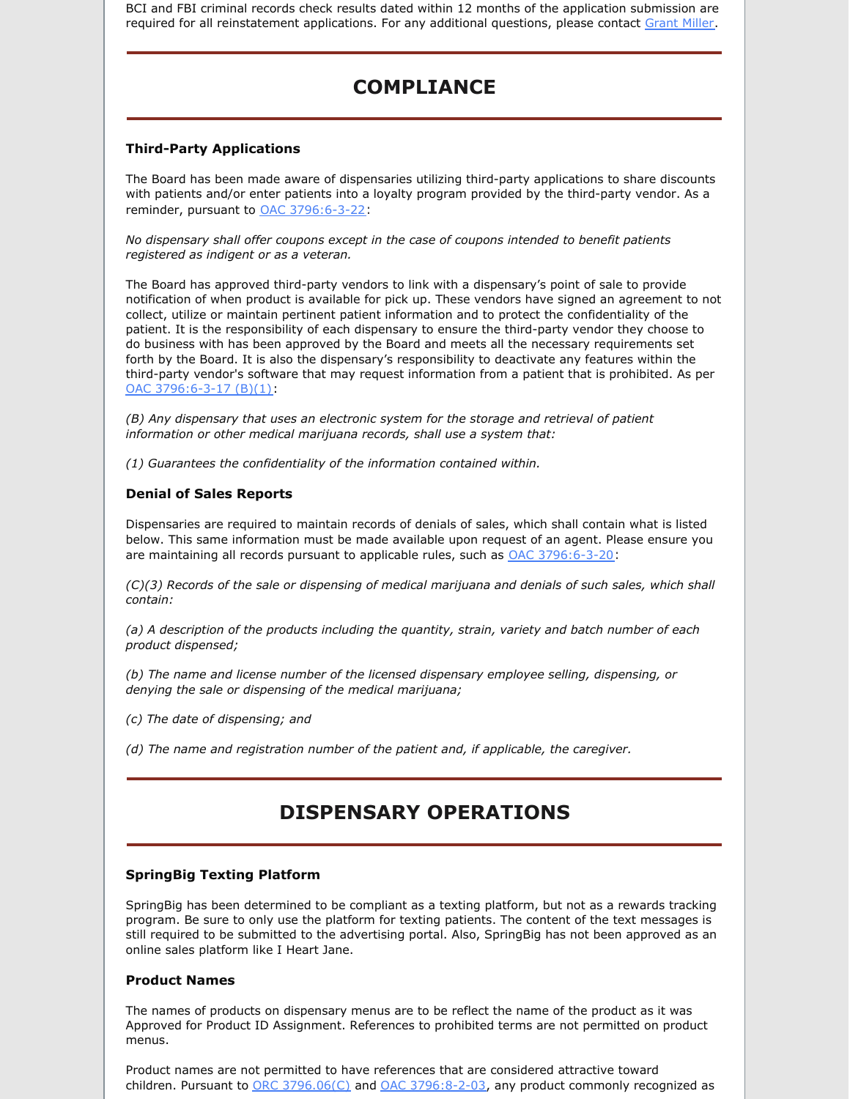BCI and FBI criminal records check results dated within 12 months of the application submission are required for all reinstatement applications. For any additional questions, please contact [Grant](mailto:Grant.Miller@pharmacy.ohio.gov) Miller.

## **COMPLIANCE**

#### **Third-Party Applications**

The Board has been made aware of dispensaries utilizing third-party applications to share discounts with patients and/or enter patients into a loyalty program provided by the third-party vendor. As a reminder, pursuant to OAC [3796:6-3-22](https://codes.ohio.gov/ohio-administrative-code/rule-3796:6-3-22#:~:text=Rule 3796%3A6%2D3%2D22 %7C Prohibitions.&text=(C) No dispensary shall be,consultation by any dispensary employee.):

*No dispensary shall offer coupons except in the case of coupons intended to benefit patients registered as indigent or as a veteran.*

The Board has approved third-party vendors to link with a dispensary's point of sale to provide notification of when product is available for pick up. These vendors have signed an agreement to not collect, utilize or maintain pertinent patient information and to protect the confidentiality of the patient. It is the responsibility of each dispensary to ensure the third-party vendor they choose to do business with has been approved by the Board and meets all the necessary requirements set forth by the Board. It is also the dispensary's responsibility to deactivate any features within the third-party vendor's software that may request information from a patient that is prohibited. As per OAC [3796:6-3-17](https://codes.ohio.gov/ohio-administrative-code/rule-3796:6-3-17) (B)(1):

*(B) Any dispensary that uses an electronic system for the storage and retrieval of patient information or other medical marijuana records, shall use a system that:*

*(1) Guarantees the confidentiality of the information contained within.*

#### **Denial of Sales Reports**

Dispensaries are required to maintain records of denials of sales, which shall contain what is listed below. This same information must be made available upon request of an agent. Please ensure you are maintaining all records pursuant to applicable rules, such as OAC [3796:6-3-20](https://codes.ohio.gov/ohio-administrative-code/rule-3796:6-3-20#:~:text=Rule 3796%3A6%2D3%2D20 %7C Medical marijuana,dispensary internal inventory control system.&text=(A) A dispensary designated representative,medical marijuana inventory control system.):

*(C)(3) Records of the sale or dispensing of medical marijuana and denials of such sales, which shall contain:*

*(a) A description of the products including the quantity, strain, variety and batch number of each product dispensed;*

*(b) The name and license number of the licensed dispensary employee selling, dispensing, or denying the sale or dispensing of the medical marijuana;*

- *(c) The date of dispensing; and*
- *(d) The name and registration number of the patient and, if applicable, the caregiver.*

## **DISPENSARY OPERATIONS**

#### **SpringBig Texting Platform**

SpringBig has been determined to be compliant as a texting platform, but not as a rewards tracking program. Be sure to only use the platform for texting patients. The content of the text messages is still required to be submitted to the advertising portal. Also, SpringBig has not been approved as an online sales platform like I Heart Jane.

#### **Product Names**

The names of products on dispensary menus are to be reflect the name of the product as it was Approved for Product ID Assignment. References to prohibited terms are not permitted on product menus.

Product names are not permitted to have references that are considered attractive toward children. Pursuant to  $\overline{ORC}$  [3796.06\(C\)](https://codes.ohio.gov/ohio-revised-code/section-3796.06) and  $\overline{OAC}$  [3796:8-2-03](https://codes.ohio.gov/ohio-administrative-code/rule-3796:8-2-03#:~:text=Rule 3796%3A8%2D2%2D03 %7C Forms and form,variations considered attractive to children.&text=(A) All medical marijuana accepted,in a child%2Dproof container.), any product commonly recognized as